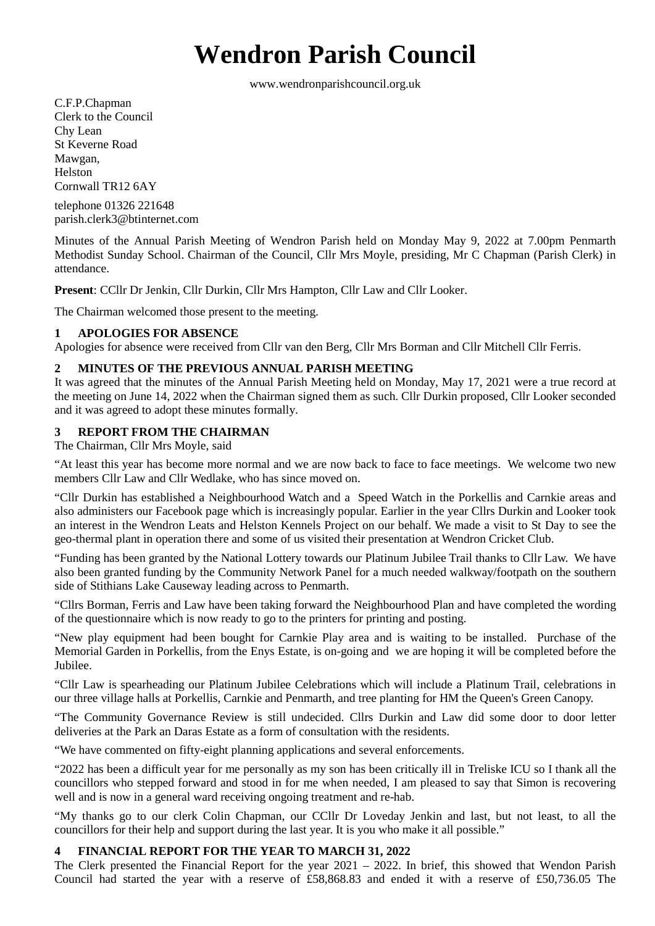# **Wendron Parish Council**

www.wendronparishcouncil.org.uk

C.F.P.Chapman Clerk to the Council Chy Lean St Keverne Road Mawgan, Helston Cornwall TR12 6AY

telephone 01326 221648 parish.clerk3@btinternet.com

Minutes of the Annual Parish Meeting of Wendron Parish held on Monday May 9, 2022 at 7.00pm Penmarth Methodist Sunday School. Chairman of the Council, Cllr Mrs Moyle, presiding, Mr C Chapman (Parish Clerk) in attendance.

**Present**: CCllr Dr Jenkin, Cllr Durkin, Cllr Mrs Hampton, Cllr Law and Cllr Looker.

The Chairman welcomed those present to the meeting.

### **1 APOLOGIES FOR ABSENCE**

Apologies for absence were received from Cllr van den Berg, Cllr Mrs Borman and Cllr Mitchell Cllr Ferris.

### **2 MINUTES OF THE PREVIOUS ANNUAL PARISH MEETING**

It was agreed that the minutes of the Annual Parish Meeting held on Monday, May 17, 2021 were a true record at the meeting on June 14, 2022 when the Chairman signed them as such. Cllr Durkin proposed, Cllr Looker seconded and it was agreed to adopt these minutes formally.

## **3 REPORT FROM THE CHAIRMAN**

The Chairman, Cllr Mrs Moyle, said

"At least this year has become more normal and we are now back to face to face meetings. We welcome two new members Cllr Law and Cllr Wedlake, who has since moved on.

"Cllr Durkin has established a Neighbourhood Watch and a Speed Watch in the Porkellis and Carnkie areas and also administers our Facebook page which is increasingly popular. Earlier in the year Cllrs Durkin and Looker took an interest in the Wendron Leats and Helston Kennels Project on our behalf. We made a visit to St Day to see the geo-thermal plant in operation there and some of us visited their presentation at Wendron Cricket Club.

"Funding has been granted by the National Lottery towards our Platinum Jubilee Trail thanks to Cllr Law. We have also been granted funding by the Community Network Panel for a much needed walkway/footpath on the southern side of Stithians Lake Causeway leading across to Penmarth.

"Cllrs Borman, Ferris and Law have been taking forward the Neighbourhood Plan and have completed the wording of the questionnaire which is now ready to go to the printers for printing and posting.

"New play equipment had been bought for Carnkie Play area and is waiting to be installed. Purchase of the Memorial Garden in Porkellis, from the Enys Estate, is on-going and we are hoping it will be completed before the Jubilee.

"Cllr Law is spearheading our Platinum Jubilee Celebrations which will include a Platinum Trail, celebrations in our three village halls at Porkellis, Carnkie and Penmarth, and tree planting for HM the Queen's Green Canopy.

"The Community Governance Review is still undecided. Cllrs Durkin and Law did some door to door letter deliveries at the Park an Daras Estate as a form of consultation with the residents.

"We have commented on fifty-eight planning applications and several enforcements.

"2022 has been a difficult year for me personally as my son has been critically ill in Treliske ICU so I thank all the councillors who stepped forward and stood in for me when needed, I am pleased to say that Simon is recovering well and is now in a general ward receiving ongoing treatment and re-hab.

"My thanks go to our clerk Colin Chapman, our CCllr Dr Loveday Jenkin and last, but not least, to all the councillors for their help and support during the last year. It is you who make it all possible."

#### **4 FINANCIAL REPORT FOR THE YEAR TO MARCH 31, 2022**

The Clerk presented the Financial Report for the year 2021 – 2022. In brief, this showed that Wendon Parish Council had started the year with a reserve of £58,868.83 and ended it with a reserve of £50,736.05 The